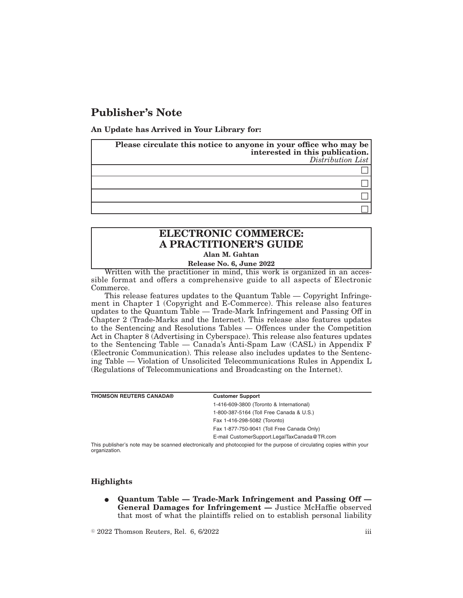## **Publisher's Note**

**An Update has Arrived in Your Library for:**

| Please circulate this notice to anyone in your office who may be<br>interested in this publication.<br>Distribution List |
|--------------------------------------------------------------------------------------------------------------------------|
|                                                                                                                          |
|                                                                                                                          |
|                                                                                                                          |
|                                                                                                                          |

## **ELECTRONIC COMMERCE: A PRACTITIONER'S GUIDE**

**Alan M. Gahtan**

**Release No. 6, June 2022**

Written with the practitioner in mind, this work is organized in an accessible format and offers a comprehensive guide to all aspects of Electronic Commerce.

This release features updates to the Quantum Table — Copyright Infringement in Chapter 1 (Copyright and E-Commerce). This release also features updates to the Quantum Table — Trade-Mark Infringement and Passing Off in Chapter 2 (Trade-Marks and the Internet). This release also features updates to the Sentencing and Resolutions Tables — Offences under the Competition Act in Chapter 8 (Advertising in Cyberspace). This release also features updates to the Sentencing Table — Canada's Anti-Spam Law (CASL) in Appendix F (Electronic Communication). This release also includes updates to the Sentencing Table — Violation of Unsolicited Telecommunications Rules in Appendix L (Regulations of Telecommunications and Broadcasting on the Internet).

| <b>THOMSON REUTERS CANADA®</b> | <b>Customer Support</b>                                                                                               |
|--------------------------------|-----------------------------------------------------------------------------------------------------------------------|
|                                | 1-416-609-3800 (Toronto & International)                                                                              |
|                                | 1-800-387-5164 (Toll Free Canada & U.S.)                                                                              |
|                                | Fax 1-416-298-5082 (Toronto)                                                                                          |
|                                | Fax 1-877-750-9041 (Toll Free Canada Only)                                                                            |
|                                | E-mail CustomerSupport.LegalTaxCanada@TR.com                                                                          |
| organization.                  | This publisher's note may be scanned electronically and photocopied for the purpose of circulating copies within your |

## **Highlights**

E **Quantum Table — Trade-Mark Infringement and Passing Off — General Damages for Infringement —** Justice McHaffie observed that most of what the plaintiffs relied on to establish personal liability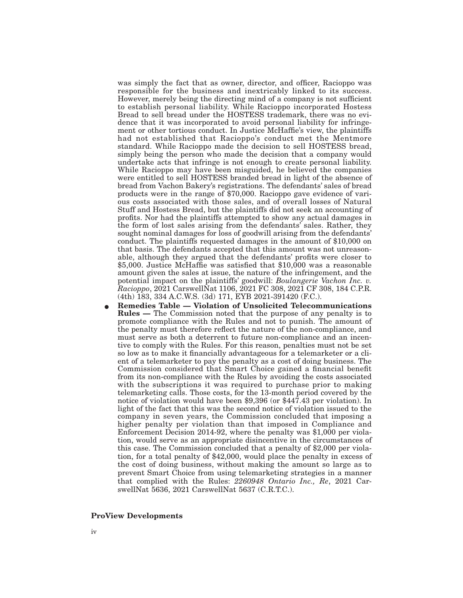was simply the fact that as owner, director, and officer, Racioppo was responsible for the business and inextricably linked to its success. However, merely being the directing mind of a company is not sufficient to establish personal liability. While Racioppo incorporated Hostess Bread to sell bread under the HOSTESS trademark, there was no evidence that it was incorporated to avoid personal liability for infringement or other tortious conduct. In Justice McHaffie's view, the plaintiffs had not established that Racioppo's conduct met the Mentmore standard. While Racioppo made the decision to sell HOSTESS bread, simply being the person who made the decision that a company would undertake acts that infringe is not enough to create personal liability. While Racioppo may have been misguided, he believed the companies were entitled to sell HOSTESS branded bread in light of the absence of bread from Vachon Bakery's registrations. The defendants' sales of bread products were in the range of \$70,000. Racioppo gave evidence of various costs associated with those sales, and of overall losses of Natural Stuff and Hostess Bread, but the plaintiffs did not seek an accounting of profits. Nor had the plaintiffs attempted to show any actual damages in the form of lost sales arising from the defendants' sales. Rather, they sought nominal damages for loss of goodwill arising from the defendants' conduct. The plaintiffs requested damages in the amount of \$10,000 on that basis. The defendants accepted that this amount was not unreasonable, although they argued that the defendants' profits were closer to \$5,000. Justice McHaffie was satisfied that \$10,000 was a reasonable amount given the sales at issue, the nature of the infringement, and the potential impact on the plaintiffs' goodwill: *Boulangerie Vachon Inc. v. Racioppo*, 2021 CarswellNat 1106, 2021 FC 308, 2021 CF 308, 184 C.P.R. (4th) 183, 334 A.C.W.S. (3d) 171, EYB 2021-391420 (F.C.).

E **Remedies Table — Violation of Unsolicited Telecommunications Rules —** The Commission noted that the purpose of any penalty is to promote compliance with the Rules and not to punish. The amount of the penalty must therefore reflect the nature of the non-compliance, and must serve as both a deterrent to future non-compliance and an incentive to comply with the Rules. For this reason, penalties must not be set so low as to make it financially advantageous for a telemarketer or a client of a telemarketer to pay the penalty as a cost of doing business. The Commission considered that Smart Choice gained a financial benefit from its non-compliance with the Rules by avoiding the costs associated with the subscriptions it was required to purchase prior to making telemarketing calls. Those costs, for the 13-month period covered by the notice of violation would have been \$9,396 (or \$447.43 per violation). In light of the fact that this was the second notice of violation issued to the company in seven years, the Commission concluded that imposing a higher penalty per violation than that imposed in Compliance and Enforcement Decision 2014-92, where the penalty was \$1,000 per violation, would serve as an appropriate disincentive in the circumstances of this case. The Commission concluded that a penalty of \$2,000 per violation, for a total penalty of \$42,000, would place the penalty in excess of the cost of doing business, without making the amount so large as to prevent Smart Choice from using telemarketing strategies in a manner that complied with the Rules: *2260948 Ontario Inc., Re*, 2021 CarswellNat 5636, 2021 CarswellNat 5637 (C.R.T.C.).

## **ProView Developments**